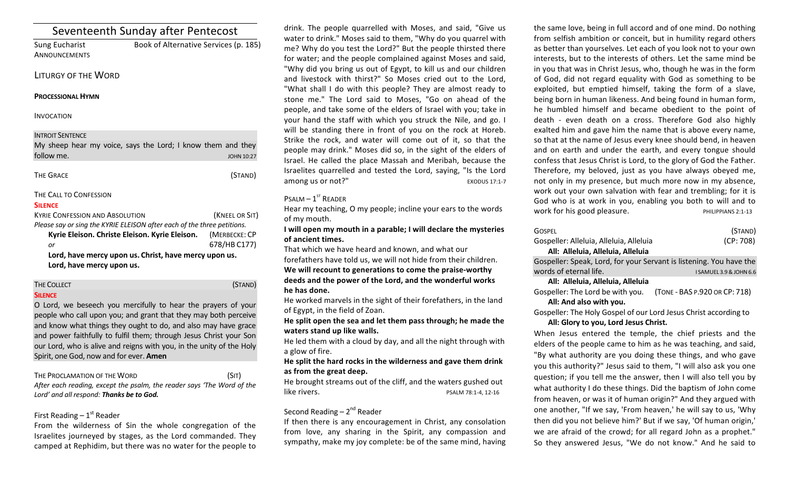| Seventeenth Sunday after Pentecost             |                                                                         |
|------------------------------------------------|-------------------------------------------------------------------------|
| <b>Sung Eucharist</b><br>ANNOUNCEMENTS         | Book of Alternative Services (p. 185)                                   |
| <b>LITURGY OF THE WORD</b>                     |                                                                         |
| <b>PROCESSIONAL HYMN</b>                       |                                                                         |
| <b>INVOCATION</b>                              |                                                                         |
| <b>INTROIT SENTENCE</b>                        |                                                                         |
|                                                | My sheep hear my voice, says the Lord; I know them and they             |
| follow me.                                     | <b>JOHN 10:27</b>                                                       |
| <b>THE GRACE</b>                               | (STAND)                                                                 |
| THE CALL TO CONFESSION                         |                                                                         |
| <b>SILENCE</b>                                 |                                                                         |
| <b>KYRIE CONFESSION AND ABSOLUTION</b>         | (KNEEL OR SIT)                                                          |
|                                                | Please say or sing the KYRIE ELEISON after each of the three petitions. |
| Kyrie Eleison. Christe Eleison. Kyrie Eleison. | (MERBECKE: CP                                                           |
| or                                             | 678/HB C177)                                                            |
|                                                | Lord, have mercy upon us. Christ, have mercy upon us.                   |
| Lord, have mercy upon us.                      |                                                                         |
|                                                |                                                                         |

# THE COLLECT **THE COLLECT COLLECT COLLECT COLLECT COLLECT COLLECT COLLECT COLLECT**

# **SILENCE**

O Lord, we beseech you mercifully to hear the prayers of your people who call upon you; and grant that they may both perceive and know what things they ought to do, and also may have grace and power faithfully to fulfil them; through Jesus Christ your Son our Lord, who is alive and reigns with you, in the unity of the Holy Spirit, one God, now and for ever. **Amen** 

#### THE PROCLAMATION OF THE WORD (SIT)

After each reading, except the psalm, the reader says 'The Word of the Lord' and all respond: **Thanks be to God.** 

# First Reading  $-1<sup>st</sup>$  Reader

From the wilderness of Sin the whole congregation of the Israelites journeyed by stages, as the Lord commanded. They camped at Rephidim, but there was no water for the people to

drink. The people quarrelled with Moses, and said, "Give us water to drink." Moses said to them, "Why do you quarrel with me? Why do you test the Lord?" But the people thirsted there for water; and the people complained against Moses and said, "Why did you bring us out of Egypt, to kill us and our children and livestock with thirst?" So Moses cried out to the Lord, "What shall I do with this people? They are almost ready to stone me." The Lord said to Moses, "Go on ahead of the people, and take some of the elders of Israel with you; take in your hand the staff with which you struck the Nile, and go. I will be standing there in front of you on the rock at Horeb. Strike the rock, and water will come out of it, so that the people may drink." Moses did so, in the sight of the elders of Israel. He called the place Massah and Meribah, because the Israelites quarrelled and tested the Lord, saying, "Is the Lord among us or not?" 
EXODUS 17:1-7

# $P$ SALM –  $1^{ST}$  RFADER

Hear my teaching, O my people; incline your ears to the words of my mouth.

**I** will open my mouth in a parable; I will declare the mysteries of ancient times.

That which we have heard and known, and what our forefathers have told us, we will not hide from their children. We will recount to generations to come the praise-worthy deeds and the power of the Lord, and the wonderful works he has done.

He worked marvels in the sight of their forefathers, in the land of Egypt, in the field of Zoan.

He split open the sea and let them pass through; he made the waters stand up like walls.

He led them with a cloud by day, and all the night through with a glow of fire.

# He split the hard rocks in the wilderness and gave them drink as from the great deep.

He brought streams out of the cliff, and the waters gushed out  $like \text{ rivers.}$   $PSALM \text{ 78:1-4, 12-16}$ 

# Second Reading  $- 2<sup>nd</sup>$  Reader

If then there is any encouragement in Christ, any consolation from love, any sharing in the Spirit, any compassion and sympathy, make my joy complete: be of the same mind, having

the same love, being in full accord and of one mind. Do nothing from selfish ambition or conceit, but in humility regard others as better than yourselves. Let each of you look not to your own interests, but to the interests of others. Let the same mind be in you that was in Christ Jesus, who, though he was in the form of God, did not regard equality with God as something to be exploited, but emptied himself, taking the form of a slave, being born in human likeness. And being found in human form, he humbled himself and became obedient to the point of death - even death on a cross. Therefore God also highly exalted him and gave him the name that is above every name, so that at the name of Jesus every knee should bend, in heaven and on earth and under the earth, and every tongue should confess that Jesus Christ is Lord, to the glory of God the Father. Therefore, my beloved, just as you have always obeyed me, not only in my presence, but much more now in my absence, work out your own salvation with fear and trembling; for it is God who is at work in you, enabling you both to will and to Work for his good pleasure. The example of the PHILIPPIANS 2:1-13

| GOSPEL                                                              | (STAND)                       |  |
|---------------------------------------------------------------------|-------------------------------|--|
| Gospeller: Alleluia, Alleluia, Alleluia                             | (CP: 708)                     |  |
| All: Alleluia, Alleluia, Alleluia                                   |                               |  |
| Gospeller: Speak, Lord, for your Servant is listening. You have the |                               |  |
| words of eternal life.                                              | I SAMUEL 3.9 & JOHN 6.6       |  |
| All: Alleluia, Alleluia, Alleluia                                   |                               |  |
| Gospeller: The Lord be with you.                                    | (TONE - BAS P.920 OR CP: 718) |  |
| All: And also with you.                                             |                               |  |
| Gospeller: The Holy Gospel of our Lord Jesus Christ according to    |                               |  |
| All: Glory to you, Lord Jesus Christ.                               |                               |  |
| When lesus entered the temple the chief priests and the             |                               |  |

When Jesus entered the temple, the chief priests and the elders of the people came to him as he was teaching, and said, "By what authority are you doing these things, and who gave you this authority?" Jesus said to them, "I will also ask you one question; if you tell me the answer, then I will also tell you by what authority I do these things. Did the baptism of John come from heaven, or was it of human origin?" And they argued with one another, "If we say, 'From heaven,' he will say to us, 'Why then did you not believe him?' But if we say, 'Of human origin,' we are afraid of the crowd; for all regard John as a prophet." So they answered Jesus, "We do not know." And he said to